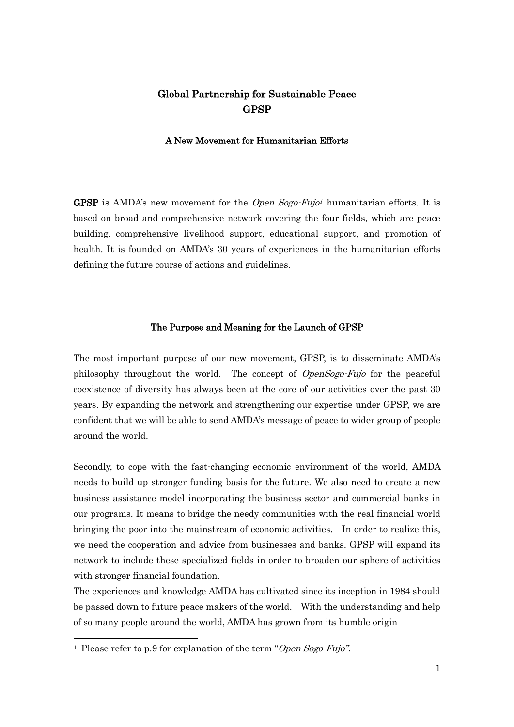# Global Partnership for Sustainable Peace **GPSP**

#### A New Movement for Humanitarian Efforts

**GPSP** is AMDA's new movement for the *Open Sogo-Fujo*<sup>1</sup> humanitarian efforts. It is based on broad and comprehensive network covering the four fields, which are peace building, comprehensive livelihood support, educational support, and promotion of health. It is founded on AMDA's 30 years of experiences in the humanitarian efforts defining the future course of actions and guidelines.

#### The Purpose and Meaning for the Launch of GPSP

The most important purpose of our new movement, GPSP, is to disseminate AMDA's philosophy throughout the world. The concept of *OpenSogo-Fujo* for the peaceful coexistence of diversity has always been at the core of our activities over the past 30 years. By expanding the network and strengthening our expertise under GPSP, we are confident that we will be able to send AMDA's message of peace to wider group of people around the world.

Secondly, to cope with the fast-changing economic environment of the world, AMDA needs to build up stronger funding basis for the future. We also need to create a new business assistance model incorporating the business sector and commercial banks in our programs. It means to bridge the needy communities with the real financial world bringing the poor into the mainstream of economic activities. In order to realize this, we need the cooperation and advice from businesses and banks. GPSP will expand its network to include these specialized fields in order to broaden our sphere of activities with stronger financial foundation.

The experiences and knowledge AMDA has cultivated since its inception in 1984 should be passed down to future peace makers of the world. With the understanding and help of so many people around the world, AMDA has grown from its humble origin

-

<sup>&</sup>lt;sup>1</sup> Please refer to p.9 for explanation of the term "Open Sogo-Fujo".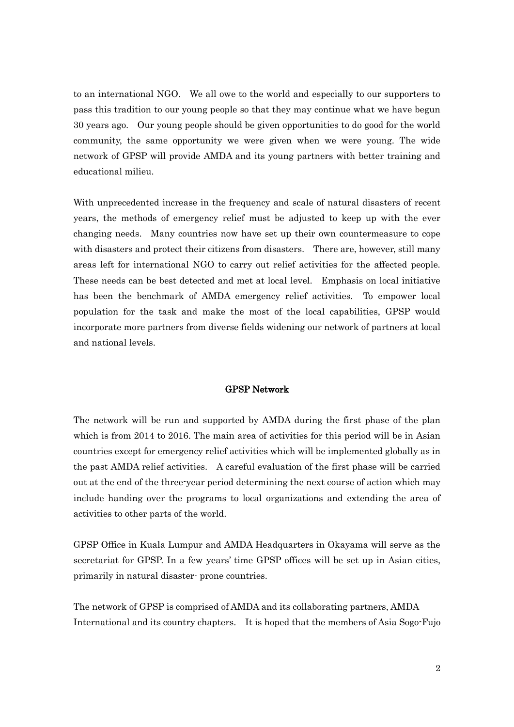to an international NGO. We all owe to the world and especially to our supporters to pass this tradition to our young people so that they may continue what we have begun 30 years ago. Our young people should be given opportunities to do good for the world community, the same opportunity we were given when we were young. The wide network of GPSP will provide AMDA and its young partners with better training and educational milieu.

With unprecedented increase in the frequency and scale of natural disasters of recent years, the methods of emergency relief must be adjusted to keep up with the ever changing needs. Many countries now have set up their own countermeasure to cope with disasters and protect their citizens from disasters. There are, however, still many areas left for international NGO to carry out relief activities for the affected people. These needs can be best detected and met at local level. Emphasis on local initiative has been the benchmark of AMDA emergency relief activities. To empower local population for the task and make the most of the local capabilities, GPSP would incorporate more partners from diverse fields widening our network of partners at local and national levels.

#### GPSP Network

The network will be run and supported by AMDA during the first phase of the plan which is from 2014 to 2016. The main area of activities for this period will be in Asian countries except for emergency relief activities which will be implemented globally as in the past AMDA relief activities. A careful evaluation of the first phase will be carried out at the end of the three-year period determining the next course of action which may include handing over the programs to local organizations and extending the area of activities to other parts of the world.

GPSP Office in Kuala Lumpur and AMDA Headquarters in Okayama will serve as the secretariat for GPSP. In a few years' time GPSP offices will be set up in Asian cities, primarily in natural disaster- prone countries.

The network of GPSP is comprised of AMDA and its collaborating partners, AMDA International and its country chapters. It is hoped that the members of Asia Sogo-Fujo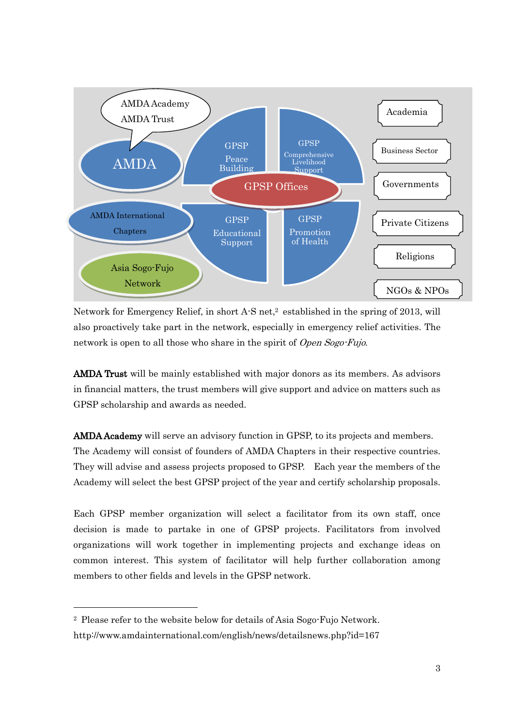

Network for Emergency Relief, in short A-S net, <sup>2</sup> established in the spring of 2013, will also proactively take part in the network, especially in emergency relief activities. The network is open to all those who share in the spirit of *Open Sogo-Fujo*.

AMDA Trust will be mainly established with major donors as its members. As advisors in financial matters, the trust members will give support and advice on matters such as GPSP scholarship and awards as needed.

AMDA Academy will serve an advisory function in GPSP, to its projects and members. The Academy will consist of founders of AMDA Chapters in their respective countries. They will advise and assess projects proposed to GPSP. Each year the members of the Academy will select the best GPSP project of the year and certify scholarship proposals.

Each GPSP member organization will select a facilitator from its own staff, once decision is made to partake in one of GPSP projects. Facilitators from involved organizations will work together in implementing projects and exchange ideas on common interest. This system of facilitator will help further collaboration among members to other fields and levels in the GPSP network.

-

<sup>2</sup> Please refer to the website below for details of Asia Sogo-Fujo Network. http://www.amdainternational.com/english/news/detailsnews.php?id=167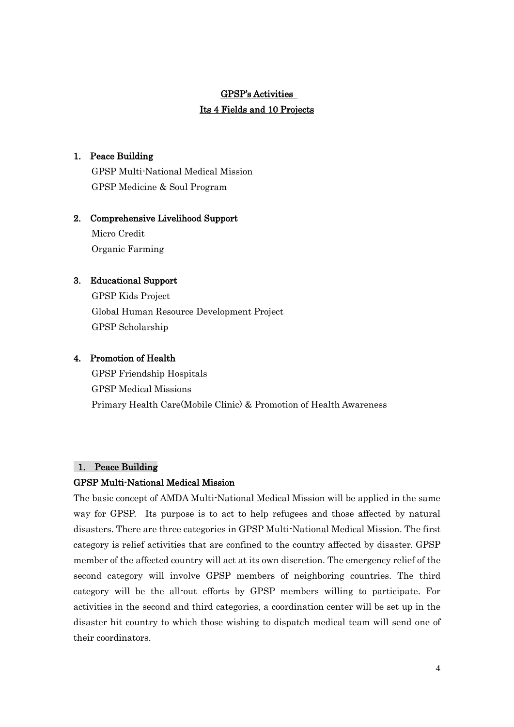# GPSP's Activities Its 4 Fields and 10 Projects

## 1. Peace Building

 GPSP Multi-National Medical Mission GPSP Medicine & Soul Program

### 2. Comprehensive Livelihood Support

Micro Credit Organic Farming

## 3. Educational Support

GPSP Kids Project Global Human Resource Development Project GPSP Scholarship

# 4. Promotion of Health

GPSP Friendship Hospitals GPSP Medical Missions Primary Health Care(Mobile Clinic) & Promotion of Health Awareness

### 1. Peace Building

#### GPSP Multi-National Medical Mission

The basic concept of AMDA Multi-National Medical Mission will be applied in the same way for GPSP. Its purpose is to act to help refugees and those affected by natural disasters. There are three categories in GPSP Multi-National Medical Mission. The first category is relief activities that are confined to the country affected by disaster. GPSP member of the affected country will act at its own discretion. The emergency relief of the second category will involve GPSP members of neighboring countries. The third category will be the all-out efforts by GPSP members willing to participate. For activities in the second and third categories, a coordination center will be set up in the disaster hit country to which those wishing to dispatch medical team will send one of their coordinators.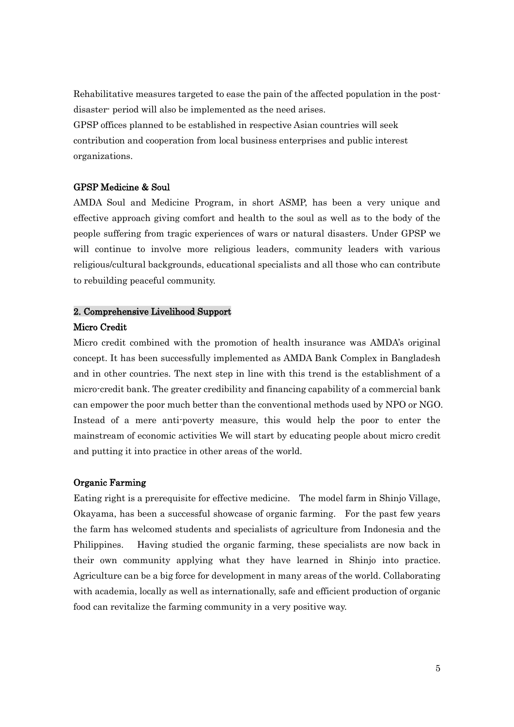Rehabilitative measures targeted to ease the pain of the affected population in the postdisaster- period will also be implemented as the need arises. GPSP offices planned to be established in respective Asian countries will seek contribution and cooperation from local business enterprises and public interest organizations.

### GPSP Medicine & Soul

AMDA Soul and Medicine Program, in short ASMP, has been a very unique and effective approach giving comfort and health to the soul as well as to the body of the people suffering from tragic experiences of wars or natural disasters. Under GPSP we will continue to involve more religious leaders, community leaders with various religious/cultural backgrounds, educational specialists and all those who can contribute to rebuilding peaceful community.

# 2. Comprehensive Livelihood Support Micro Credit

Micro credit combined with the promotion of health insurance was AMDA's original concept. It has been successfully implemented as AMDA Bank Complex in Bangladesh and in other countries. The next step in line with this trend is the establishment of a micro-credit bank. The greater credibility and financing capability of a commercial bank can empower the poor much better than the conventional methods used by NPO or NGO. Instead of a mere anti-poverty measure, this would help the poor to enter the mainstream of economic activities We will start by educating people about micro credit and putting it into practice in other areas of the world.

#### Organic Farming

Eating right is a prerequisite for effective medicine. The model farm in Shinjo Village, Okayama, has been a successful showcase of organic farming. For the past few years the farm has welcomed students and specialists of agriculture from Indonesia and the Philippines. Having studied the organic farming, these specialists are now back in their own community applying what they have learned in Shinjo into practice. Agriculture can be a big force for development in many areas of the world. Collaborating with academia, locally as well as internationally, safe and efficient production of organic food can revitalize the farming community in a very positive way.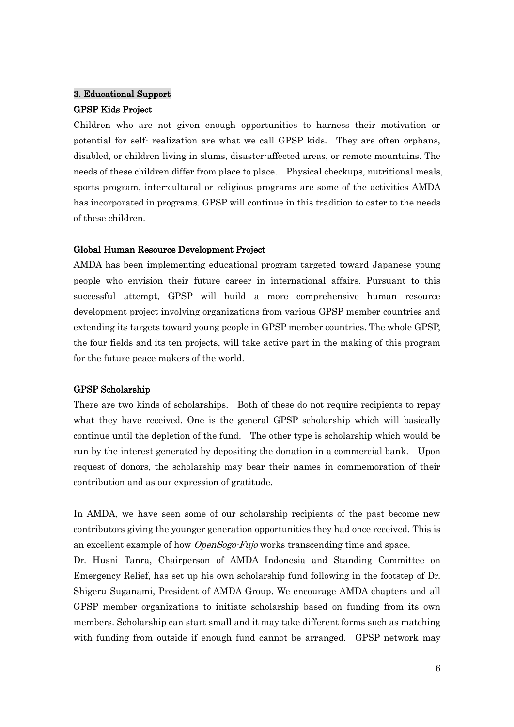# 3. Educational Support GPSP Kids Project

Children who are not given enough opportunities to harness their motivation or potential for self- realization are what we call GPSP kids. They are often orphans, disabled, or children living in slums, disaster-affected areas, or remote mountains. The needs of these children differ from place to place. Physical checkups, nutritional meals, sports program, inter-cultural or religious programs are some of the activities AMDA has incorporated in programs. GPSP will continue in this tradition to cater to the needs of these children.

### Global Human Resource Development Project

AMDA has been implementing educational program targeted toward Japanese young people who envision their future career in international affairs. Pursuant to this successful attempt, GPSP will build a more comprehensive human resource development project involving organizations from various GPSP member countries and extending its targets toward young people in GPSP member countries. The whole GPSP, the four fields and its ten projects, will take active part in the making of this program for the future peace makers of the world.

### GPSP Scholarship

There are two kinds of scholarships. Both of these do not require recipients to repay what they have received. One is the general GPSP scholarship which will basically continue until the depletion of the fund. The other type is scholarship which would be run by the interest generated by depositing the donation in a commercial bank. Upon request of donors, the scholarship may bear their names in commemoration of their contribution and as our expression of gratitude.

In AMDA, we have seen some of our scholarship recipients of the past become new contributors giving the younger generation opportunities they had once received. This is an excellent example of how *OpenSogo-Fujo* works transcending time and space.

Dr. Husni Tanra, Chairperson of AMDA Indonesia and Standing Committee on Emergency Relief, has set up his own scholarship fund following in the footstep of Dr. Shigeru Suganami, President of AMDA Group. We encourage AMDA chapters and all GPSP member organizations to initiate scholarship based on funding from its own members. Scholarship can start small and it may take different forms such as matching with funding from outside if enough fund cannot be arranged. GPSP network may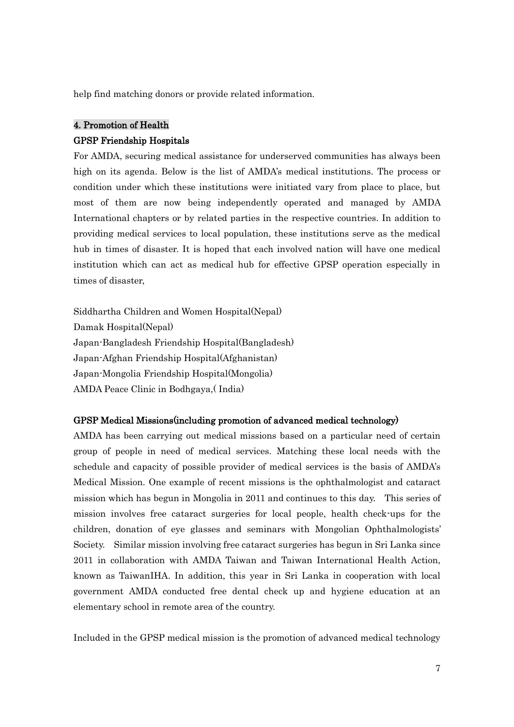help find matching donors or provide related information.

# 4. Promotion of Health GPSP Friendship Hospitals

For AMDA, securing medical assistance for underserved communities has always been high on its agenda. Below is the list of AMDA's medical institutions. The process or condition under which these institutions were initiated vary from place to place, but most of them are now being independently operated and managed by AMDA International chapters or by related parties in the respective countries. In addition to providing medical services to local population, these institutions serve as the medical hub in times of disaster. It is hoped that each involved nation will have one medical institution which can act as medical hub for effective GPSP operation especially in times of disaster,

Siddhartha Children and Women Hospital(Nepal) Damak Hospital(Nepal) Japan-Bangladesh Friendship Hospital(Bangladesh) Japan-Afghan Friendship Hospital(Afghanistan) Japan-Mongolia Friendship Hospital(Mongolia) AMDA Peace Clinic in Bodhgaya,( India)

### GPSP Medical Missions(including promotion of advanced medical technology)

AMDA has been carrying out medical missions based on a particular need of certain group of people in need of medical services. Matching these local needs with the schedule and capacity of possible provider of medical services is the basis of AMDA's Medical Mission. One example of recent missions is the ophthalmologist and cataract mission which has begun in Mongolia in 2011 and continues to this day. This series of mission involves free cataract surgeries for local people, health check-ups for the children, donation of eye glasses and seminars with Mongolian Ophthalmologists' Society. Similar mission involving free cataract surgeries has begun in Sri Lanka since 2011 in collaboration with AMDA Taiwan and Taiwan International Health Action, known as TaiwanIHA. In addition, this year in Sri Lanka in cooperation with local government AMDA conducted free dental check up and hygiene education at an elementary school in remote area of the country.

Included in the GPSP medical mission is the promotion of advanced medical technology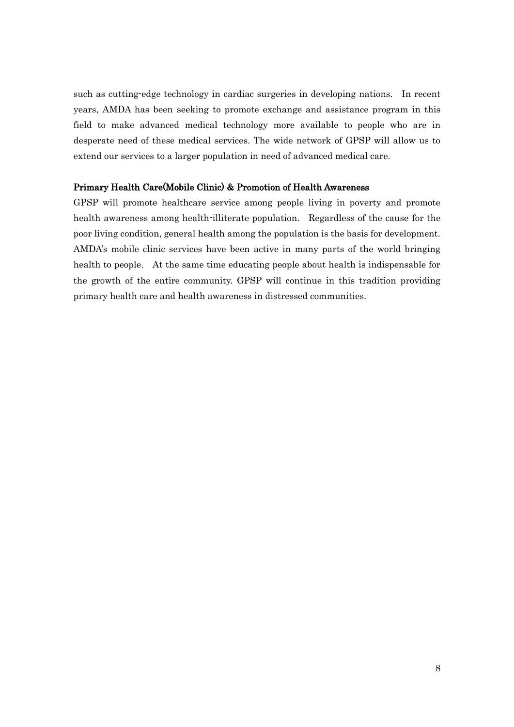such as cutting-edge technology in cardiac surgeries in developing nations. In recent years, AMDA has been seeking to promote exchange and assistance program in this field to make advanced medical technology more available to people who are in desperate need of these medical services. The wide network of GPSP will allow us to extend our services to a larger population in need of advanced medical care.

#### Primary Health Care(Mobile Clinic) & Promotion of Health Awareness

GPSP will promote healthcare service among people living in poverty and promote health awareness among health-illiterate population. Regardless of the cause for the poor living condition, general health among the population is the basis for development. AMDA's mobile clinic services have been active in many parts of the world bringing health to people. At the same time educating people about health is indispensable for the growth of the entire community. GPSP will continue in this tradition providing primary health care and health awareness in distressed communities.